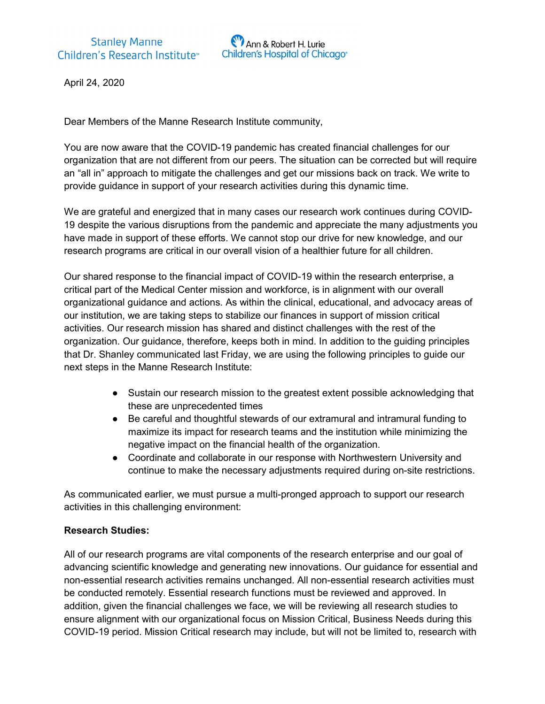

April 24, 2020

Dear Members of the Manne Research Institute community,

You are now aware that the COVID-19 pandemic has created financial challenges for our organization that are not different from our peers. The situation can be corrected but will require an "all in" approach to mitigate the challenges and get our missions back on track. We write to provide guidance in support of your research activities during this dynamic time.

We are grateful and energized that in many cases our research work continues during COVID-19 despite the various disruptions from the pandemic and appreciate the many adjustments you have made in support of these efforts. We cannot stop our drive for new knowledge, and our research programs are critical in our overall vision of a healthier future for all children.

Our shared response to the financial impact of COVID-19 within the research enterprise, a critical part of the Medical Center mission and workforce, is in alignment with our overall organizational guidance and actions. As within the clinical, educational, and advocacy areas of our institution, we are taking steps to stabilize our finances in support of mission critical activities. Our research mission has shared and distinct challenges with the rest of the organization. Our guidance, therefore, keeps both in mind. In addition to the guiding principles that Dr. Shanley communicated last Friday, we are using the following principles to guide our next steps in the Manne Research Institute:

- Sustain our research mission to the greatest extent possible acknowledging that these are unprecedented times
- Be careful and thoughtful stewards of our extramural and intramural funding to maximize its impact for research teams and the institution while minimizing the negative impact on the financial health of the organization.
- Coordinate and collaborate in our response with Northwestern University and continue to make the necessary adjustments required during on-site restrictions.

As communicated earlier, we must pursue a multi-pronged approach to support our research activities in this challenging environment:

### Research Studies:

All of our research programs are vital components of the research enterprise and our goal of advancing scientific knowledge and generating new innovations. Our guidance for essential and non-essential research activities remains unchanged. All non-essential research activities must be conducted remotely. Essential research functions must be reviewed and approved. In addition, given the financial challenges we face, we will be reviewing all research studies to ensure alignment with our organizational focus on Mission Critical, Business Needs during this COVID-19 period. Mission Critical research may include, but will not be limited to, research with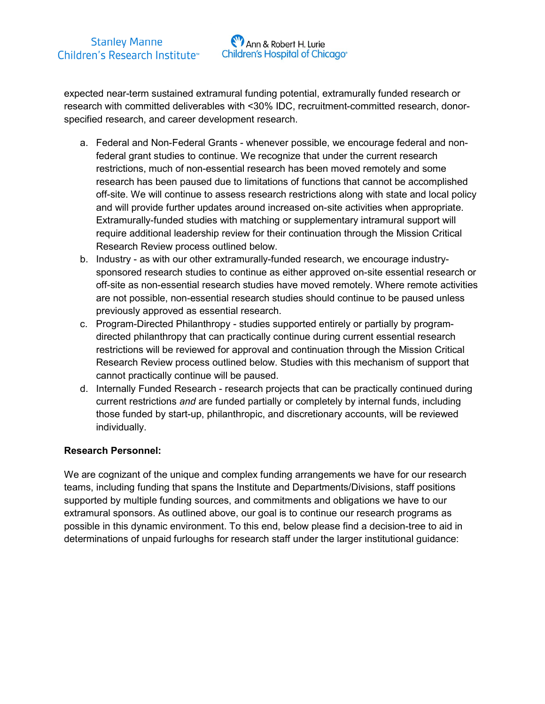

expected near-term sustained extramural funding potential, extramurally funded research or research with committed deliverables with <30% IDC, recruitment-committed research, donorspecified research, and career development research.

- a. Federal and Non-Federal Grants whenever possible, we encourage federal and nonfederal grant studies to continue. We recognize that under the current research restrictions, much of non-essential research has been moved remotely and some research has been paused due to limitations of functions that cannot be accomplished off-site. We will continue to assess research restrictions along with state and local policy and will provide further updates around increased on-site activities when appropriate. Extramurally-funded studies with matching or supplementary intramural support will require additional leadership review for their continuation through the Mission Critical Research Review process outlined below.
- b. Industry as with our other extramurally-funded research, we encourage industrysponsored research studies to continue as either approved on-site essential research or off-site as non-essential research studies have moved remotely. Where remote activities are not possible, non-essential research studies should continue to be paused unless previously approved as essential research.
- c. Program-Directed Philanthropy studies supported entirely or partially by programdirected philanthropy that can practically continue during current essential research restrictions will be reviewed for approval and continuation through the Mission Critical Research Review process outlined below. Studies with this mechanism of support that cannot practically continue will be paused.
- d. Internally Funded Research research projects that can be practically continued during current restrictions and are funded partially or completely by internal funds, including those funded by start-up, philanthropic, and discretionary accounts, will be reviewed individually.

### Research Personnel:

We are cognizant of the unique and complex funding arrangements we have for our research teams, including funding that spans the Institute and Departments/Divisions, staff positions supported by multiple funding sources, and commitments and obligations we have to our extramural sponsors. As outlined above, our goal is to continue our research programs as possible in this dynamic environment. To this end, below please find a decision-tree to aid in determinations of unpaid furloughs for research staff under the larger institutional guidance: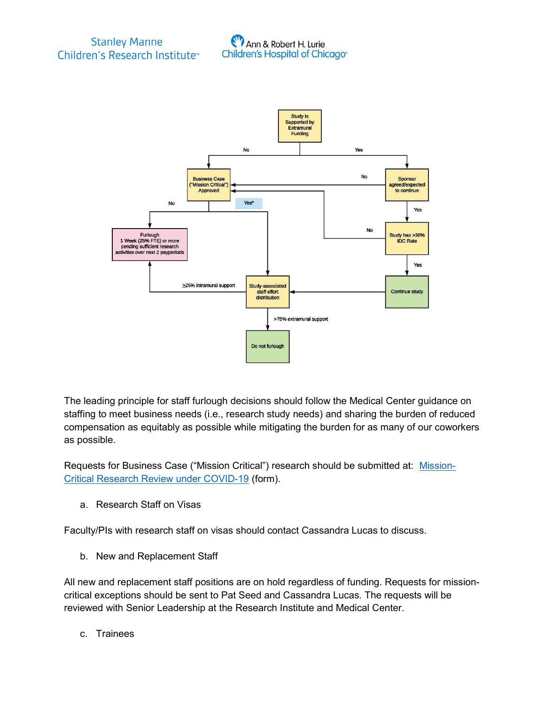



The leading principle for staff furlough decisions should follow the Medical Center guidance on staffing to meet business needs (i.e., research study needs) and sharing the burden of reduced compensation as equitably as possible while mitigating the burden for as many of our coworkers as possible.

Requests for Business Case ("Mission Critical") research should be submitted at: Mission-Critical Research Review under COVID-19 (form).

a. Research Staff on Visas

Faculty/PIs with research staff on visas should contact Cassandra Lucas to discuss.

b. New and Replacement Staff

All new and replacement staff positions are on hold regardless of funding. Requests for missioncritical exceptions should be sent to Pat Seed and Cassandra Lucas. The requests will be reviewed with Senior Leadership at the Research Institute and Medical Center.

c. Trainees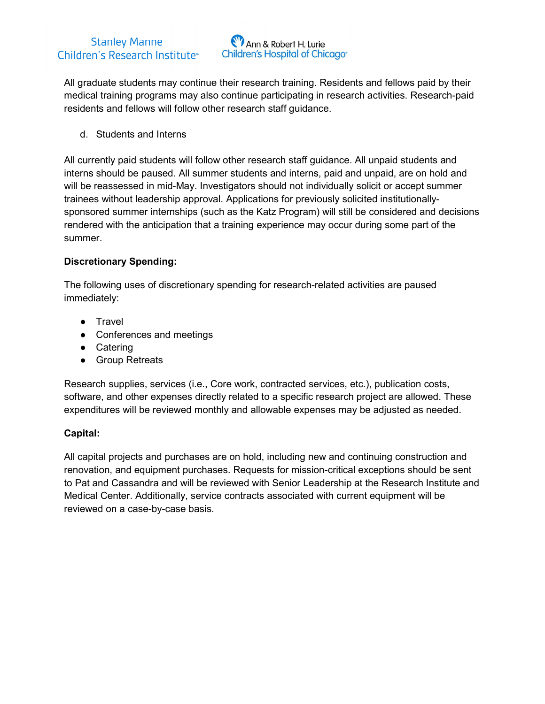## **Stanley Manne** Children's Research Institute<sup>™</sup>



All graduate students may continue their research training. Residents and fellows paid by their medical training programs may also continue participating in research activities. Research-paid residents and fellows will follow other research staff guidance.

d. Students and Interns

All currently paid students will follow other research staff guidance. All unpaid students and interns should be paused. All summer students and interns, paid and unpaid, are on hold and will be reassessed in mid-May. Investigators should not individually solicit or accept summer trainees without leadership approval. Applications for previously solicited institutionallysponsored summer internships (such as the Katz Program) will still be considered and decisions rendered with the anticipation that a training experience may occur during some part of the summer.

### Discretionary Spending:

The following uses of discretionary spending for research-related activities are paused immediately:

- Travel
- Conferences and meetings
- Catering
- Group Retreats

Research supplies, services (i.e., Core work, contracted services, etc.), publication costs, software, and other expenses directly related to a specific research project are allowed. These expenditures will be reviewed monthly and allowable expenses may be adjusted as needed.

# Capital:

All capital projects and purchases are on hold, including new and continuing construction and renovation, and equipment purchases. Requests for mission-critical exceptions should be sent to Pat and Cassandra and will be reviewed with Senior Leadership at the Research Institute and Medical Center. Additionally, service contracts associated with current equipment will be reviewed on a case-by-case basis.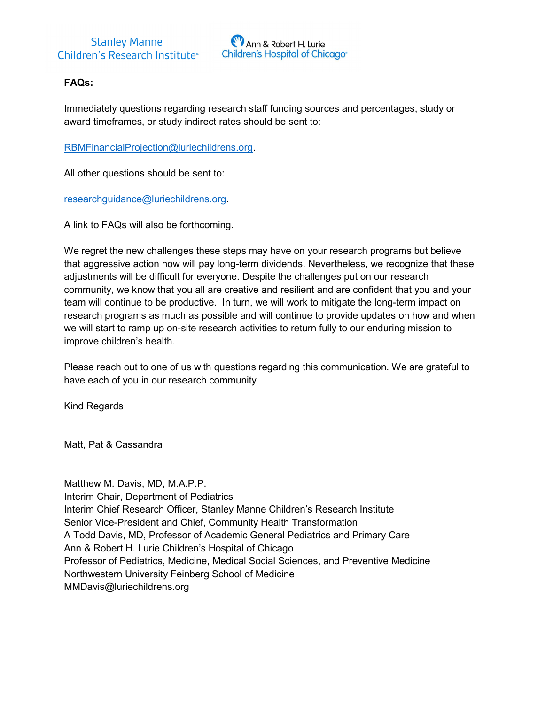

# FAQs:

Immediately questions regarding research staff funding sources and percentages, study or award timeframes, or study indirect rates should be sent to:

RBMFinancialProjection@luriechildrens.org.

All other questions should be sent to:

researchguidance@luriechildrens.org.

A link to FAQs will also be forthcoming.

We regret the new challenges these steps may have on your research programs but believe that aggressive action now will pay long-term dividends. Nevertheless, we recognize that these adjustments will be difficult for everyone. Despite the challenges put on our research community, we know that you all are creative and resilient and are confident that you and your team will continue to be productive. In turn, we will work to mitigate the long-term impact on research programs as much as possible and will continue to provide updates on how and when we will start to ramp up on-site research activities to return fully to our enduring mission to improve children's health.

Please reach out to one of us with questions regarding this communication. We are grateful to have each of you in our research community

Kind Regards

Matt, Pat & Cassandra

Matthew M. Davis, MD, M.A.P.P. Interim Chair, Department of Pediatrics Interim Chief Research Officer, Stanley Manne Children's Research Institute Senior Vice-President and Chief, Community Health Transformation A Todd Davis, MD, Professor of Academic General Pediatrics and Primary Care Ann & Robert H. Lurie Children's Hospital of Chicago Professor of Pediatrics, Medicine, Medical Social Sciences, and Preventive Medicine Northwestern University Feinberg School of Medicine MMDavis@luriechildrens.org